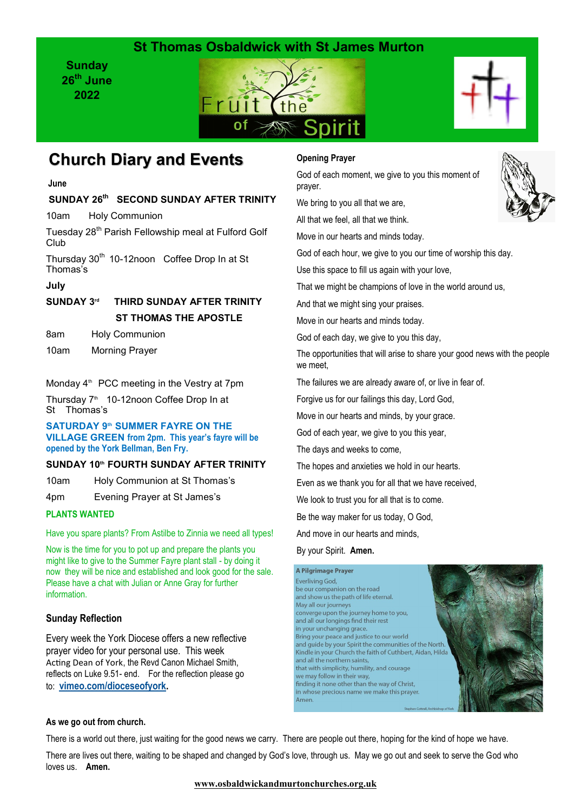## **St Thomas Osbaldwick with St James Murton**

**Sunday 26th June 2022**





# **Church Diary and Events**

**June**

### **SUNDAY 26th SECOND SUNDAY AFTER TRINITY**

10am Holy Communion

Tuesday 28<sup>th</sup> Parish Fellowship meal at Fulford Golf Club

Thursday 30<sup>th</sup> 10-12noon Coffee Drop In at St Thomas's

#### **July**

#### **SUNDAY 3rd THIRD SUNDAY AFTER TRINITY ST THOMAS THE APOSTLE**

8am Holy Communion

10am Morning Prayer

#### Monday  $4<sup>th</sup>$  PCC meeting in the Vestry at 7pm

Thursday 7<sup>th</sup> 10-12noon Coffee Drop In at St Thomas's

**SATURDAY 9th SUMMER FAYRE ON THE VILLAGE GREEN from 2pm. This year's fayre will be opened by the York Bellman, Ben Fry.**

#### **SUNDAY 10th FOURTH SUNDAY AFTER TRINITY**

10am Holy Communion at St Thomas's

4pm Evening Prayer at St James's

### **PLANTS WANTED**

Have you spare plants? From Astilbe to Zinnia we need all types!

Now is the time for you to pot up and prepare the plants you might like to give to the Summer Fayre plant stall - by doing it now they will be nice and established and look good for the sale. Please have a chat with Julian or Anne Gray for further information.

### **Sunday Reflection**

Every week the York Diocese offers a new reflective prayer video for your personal use. This week Acting Dean of York, the Revd Canon Michael Smith, reflects on Luke 9.51- end. For the reflection please go to: **[vimeo.com/dioceseofyork.](https://vimeo.com/dioceseofyork)**

### **Opening Prayer**

God of each moment, we give to you this moment of prayer.

We bring to you all that we are,

All that we feel, all that we think.

Move in our hearts and minds today.

God of each hour, we give to you our time of worship this day.

Use this space to fill us again with your love,

That we might be champions of love in the world around us,

And that we might sing your praises.

Move in our hearts and minds today.

God of each day, we give to you this day,

The opportunities that will arise to share your good news with the people we meet.

The failures we are already aware of, or live in fear of.

Forgive us for our failings this day, Lord God,

Move in our hearts and minds, by your grace.

God of each year, we give to you this year,

The days and weeks to come,

The hopes and anxieties we hold in our hearts.

Even as we thank you for all that we have received,

We look to trust you for all that is to come.

Be the way maker for us today, O God,

And move in our hearts and minds,

#### By your Spirit. **Amen.**



#### **As we go out from church.**

There is a world out there, just waiting for the good news we carry. There are people out there, hoping for the kind of hope we have.

There are lives out there, waiting to be shaped and changed by God's love, through us. May we go out and seek to serve the God who loves us. **Amen.**